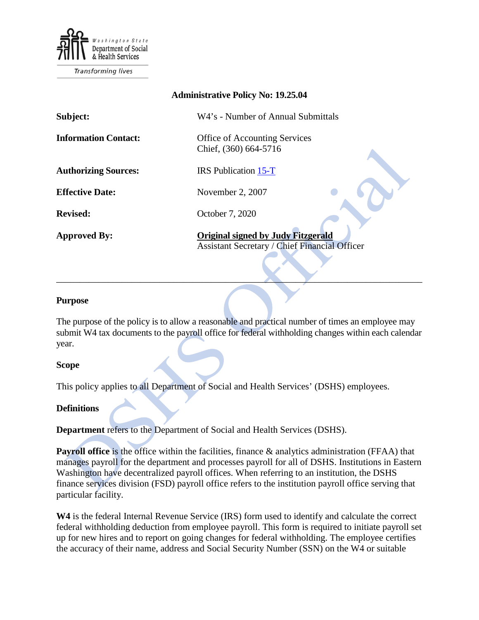

Transforming lives

## **Administrative Policy No: 19.25.04**

| Subject:                    | W4's - Number of Annual Submittals                                                                |
|-----------------------------|---------------------------------------------------------------------------------------------------|
| <b>Information Contact:</b> | <b>Office of Accounting Services</b><br>Chief, (360) 664-5716                                     |
| <b>Authorizing Sources:</b> | <b>IRS</b> Publication 15-T                                                                       |
| <b>Effective Date:</b>      | November 2, 2007                                                                                  |
| <b>Revised:</b>             | October 7, 2020                                                                                   |
| <b>Approved By:</b>         | <b>Original signed by Judy Fitzgerald</b><br><b>Assistant Secretary / Chief Financial Officer</b> |

#### **Purpose**

The purpose of the policy is to allow a reasonable and practical number of times an employee may submit W4 tax documents to the payroll office for federal withholding changes within each calendar year.

\_\_\_\_\_\_\_\_\_\_\_\_\_\_\_\_\_\_\_\_\_\_\_\_\_\_\_\_\_\_\_\_\_\_\_\_\_\_\_\_\_\_\_\_\_\_\_\_\_\_\_\_\_\_\_\_\_\_\_\_\_\_\_\_\_\_\_\_\_\_\_\_\_\_\_\_\_\_

#### **Scope**

This policy applies to all Department of Social and Health Services' (DSHS) employees.

#### **Definitions**

**Department** refers to the Department of Social and Health Services (DSHS).

**Payroll office** is the office within the facilities, finance & analytics administration (FFAA) that manages payroll for the department and processes payroll for all of DSHS. Institutions in Eastern Washington have decentralized payroll offices. When referring to an institution, the DSHS finance services division (FSD) payroll office refers to the institution payroll office serving that particular facility.

**W4** is the federal Internal Revenue Service (IRS) form used to identify and calculate the correct federal withholding deduction from employee payroll. This form is required to initiate payroll set up for new hires and to report on going changes for federal withholding. The employee certifies the accuracy of their name, address and Social Security Number (SSN) on the W4 or suitable